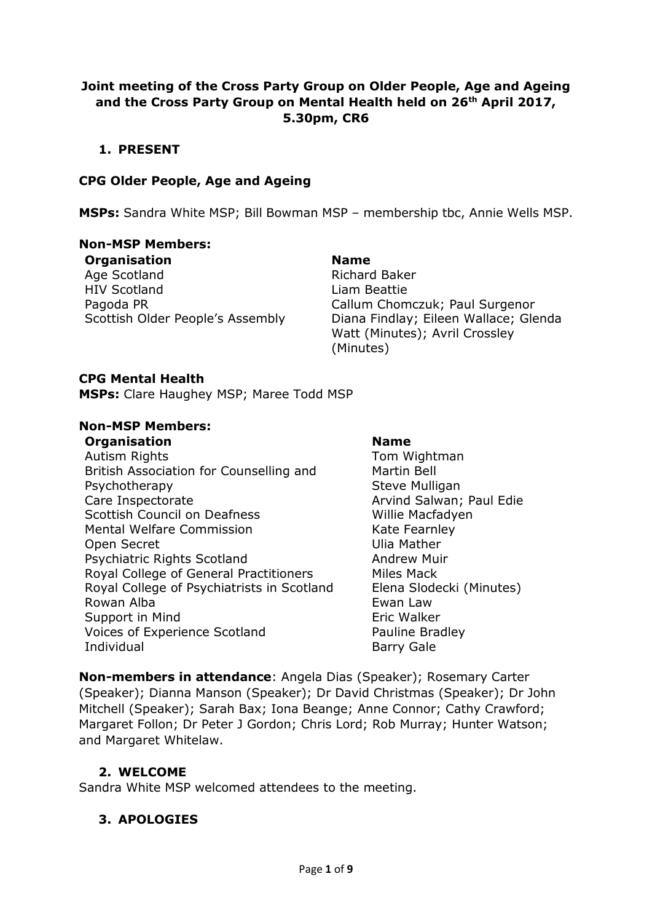## **Joint meeting of the Cross Party Group on Older People, Age and Ageing and the Cross Party Group on Mental Health held on 26th April 2017, 5.30pm, CR6**

## **1. PRESENT**

## **CPG Older People, Age and Ageing**

**MSPs:** Sandra White MSP; Bill Bowman MSP – membership tbc, Annie Wells MSP.

## **Non-MSP Members:**

**Organisation Name** Age Scotland **Richard Baker** HIV Scotland Liam Beattie Pagoda PR Callum Chomczuk; Paul Surgenor

Scottish Older People's Assembly Diana Findlay; Eileen Wallace; Glenda Watt (Minutes); Avril Crossley (Minutes)

#### **CPG Mental Health**

**MSPs:** Clare Haughey MSP; Maree Todd MSP

#### **Non-MSP Members:**

#### **Organisation Name**

Autism Rights **Tom Wightman** British Association for Counselling and Psychotherapy Care Inspectorate **Arvind Salwan**; Paul Edie Scottish Council on Deafness Willie Macfadyen Mental Welfare Commission Mental Welfare Commission Open Secret **Contains Container** Ulia Mather Psychiatric Rights Scotland Andrew Muir Royal College of General Practitioners Miles Mack Royal College of Psychiatrists in Scotland Elena Slodecki (Minutes) Rowan Alba **Ewan Law** Support in Mind
Support in Mind
Support in Mind
Support in Mind
Support in Mind
Support in Mind
Support in Mind
Support in Mind
Support in Mind
Support in Mind
Support in Mind
Support in Mind
Support in Mind
Support in Min Voices of Experience Scotland Pauline Bradley Individual **Barry Gale** 

Martin Bell Steve Mulligan

**Non-members in attendance**: Angela Dias (Speaker); Rosemary Carter (Speaker); Dianna Manson (Speaker); Dr David Christmas (Speaker); Dr John Mitchell (Speaker); Sarah Bax; Iona Beange; Anne Connor; Cathy Crawford; Margaret Follon; Dr Peter J Gordon; Chris Lord; Rob Murray; Hunter Watson; and Margaret Whitelaw.

## **2. WELCOME**

Sandra White MSP welcomed attendees to the meeting.

## **3. APOLOGIES**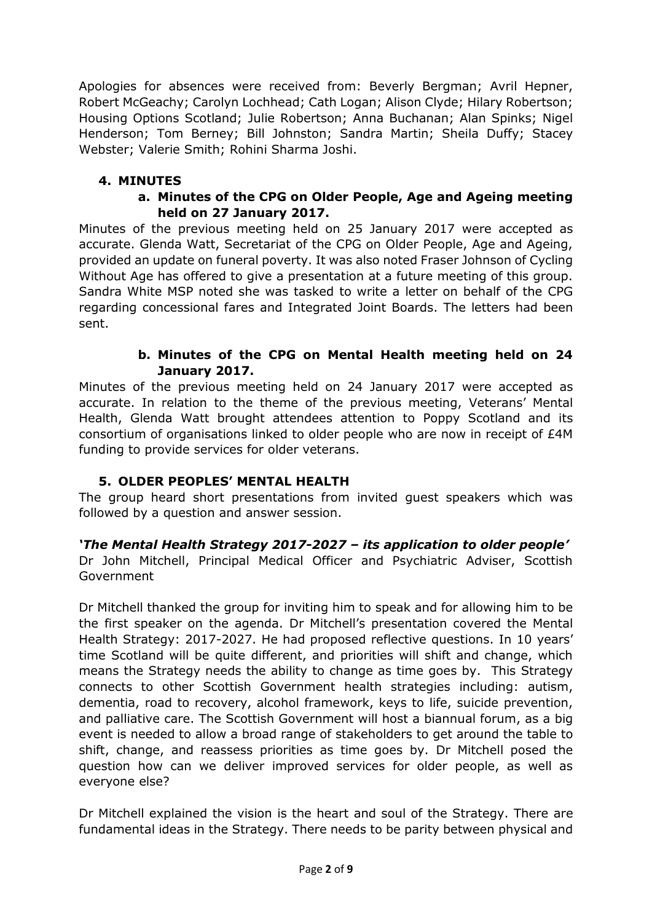Apologies for absences were received from: Beverly Bergman; Avril Hepner, Robert McGeachy; Carolyn Lochhead; Cath Logan; Alison Clyde; Hilary Robertson; Housing Options Scotland; Julie Robertson; Anna Buchanan; Alan Spinks; Nigel Henderson; Tom Berney; Bill Johnston; Sandra Martin; Sheila Duffy; Stacey Webster; Valerie Smith; Rohini Sharma Joshi.

# **4. MINUTES**

## **a. Minutes of the CPG on Older People, Age and Ageing meeting held on 27 January 2017.**

Minutes of the previous meeting held on 25 January 2017 were accepted as accurate. Glenda Watt, Secretariat of the CPG on Older People, Age and Ageing, provided an update on funeral poverty. It was also noted Fraser Johnson of Cycling Without Age has offered to give a presentation at a future meeting of this group. Sandra White MSP noted she was tasked to write a letter on behalf of the CPG regarding concessional fares and Integrated Joint Boards. The letters had been sent.

## **b. Minutes of the CPG on Mental Health meeting held on 24 January 2017.**

Minutes of the previous meeting held on 24 January 2017 were accepted as accurate. In relation to the theme of the previous meeting, Veterans' Mental Health, Glenda Watt brought attendees attention to Poppy Scotland and its consortium of organisations linked to older people who are now in receipt of £4M funding to provide services for older veterans.

# **5. OLDER PEOPLES' MENTAL HEALTH**

The group heard short presentations from invited guest speakers which was followed by a question and answer session.

*'The Mental Health Strategy 2017-2027 – its application to older people'* Dr John Mitchell, Principal Medical Officer and Psychiatric Adviser, Scottish Government

Dr Mitchell thanked the group for inviting him to speak and for allowing him to be the first speaker on the agenda. Dr Mitchell's presentation covered the Mental Health Strategy: 2017-2027. He had proposed reflective questions. In 10 years' time Scotland will be quite different, and priorities will shift and change, which means the Strategy needs the ability to change as time goes by. This Strategy connects to other Scottish Government health strategies including: autism, dementia, road to recovery, alcohol framework, keys to life, suicide prevention, and palliative care. The Scottish Government will host a biannual forum, as a big event is needed to allow a broad range of stakeholders to get around the table to shift, change, and reassess priorities as time goes by. Dr Mitchell posed the question how can we deliver improved services for older people, as well as everyone else?

Dr Mitchell explained the vision is the heart and soul of the Strategy. There are fundamental ideas in the Strategy. There needs to be parity between physical and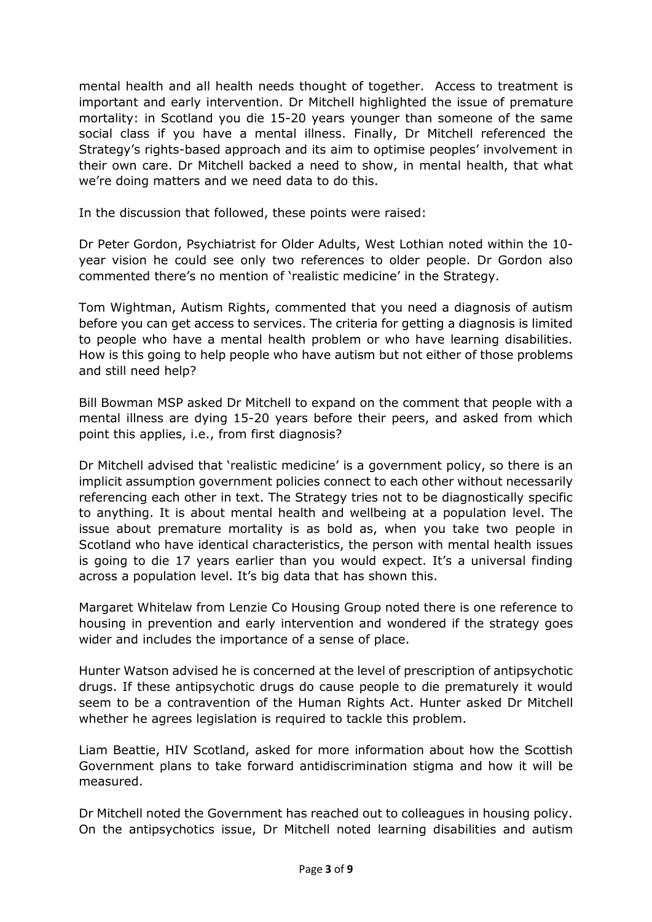mental health and all health needs thought of together. Access to treatment is important and early intervention. Dr Mitchell highlighted the issue of premature mortality: in Scotland you die 15-20 years younger than someone of the same social class if you have a mental illness. Finally, Dr Mitchell referenced the Strategy's rights-based approach and its aim to optimise peoples' involvement in their own care. Dr Mitchell backed a need to show, in mental health, that what we're doing matters and we need data to do this.

In the discussion that followed, these points were raised:

Dr Peter Gordon, Psychiatrist for Older Adults, West Lothian noted within the 10 year vision he could see only two references to older people. Dr Gordon also commented there's no mention of 'realistic medicine' in the Strategy.

Tom Wightman, Autism Rights, commented that you need a diagnosis of autism before you can get access to services. The criteria for getting a diagnosis is limited to people who have a mental health problem or who have learning disabilities. How is this going to help people who have autism but not either of those problems and still need help?

Bill Bowman MSP asked Dr Mitchell to expand on the comment that people with a mental illness are dying 15-20 years before their peers, and asked from which point this applies, i.e., from first diagnosis?

Dr Mitchell advised that 'realistic medicine' is a government policy, so there is an implicit assumption government policies connect to each other without necessarily referencing each other in text. The Strategy tries not to be diagnostically specific to anything. It is about mental health and wellbeing at a population level. The issue about premature mortality is as bold as, when you take two people in Scotland who have identical characteristics, the person with mental health issues is going to die 17 years earlier than you would expect. It's a universal finding across a population level. It's big data that has shown this.

Margaret Whitelaw from Lenzie Co Housing Group noted there is one reference to housing in prevention and early intervention and wondered if the strategy goes wider and includes the importance of a sense of place.

Hunter Watson advised he is concerned at the level of prescription of antipsychotic drugs. If these antipsychotic drugs do cause people to die prematurely it would seem to be a contravention of the Human Rights Act. Hunter asked Dr Mitchell whether he agrees legislation is required to tackle this problem.

Liam Beattie, HIV Scotland, asked for more information about how the Scottish Government plans to take forward antidiscrimination stigma and how it will be measured.

Dr Mitchell noted the Government has reached out to colleagues in housing policy. On the antipsychotics issue, Dr Mitchell noted learning disabilities and autism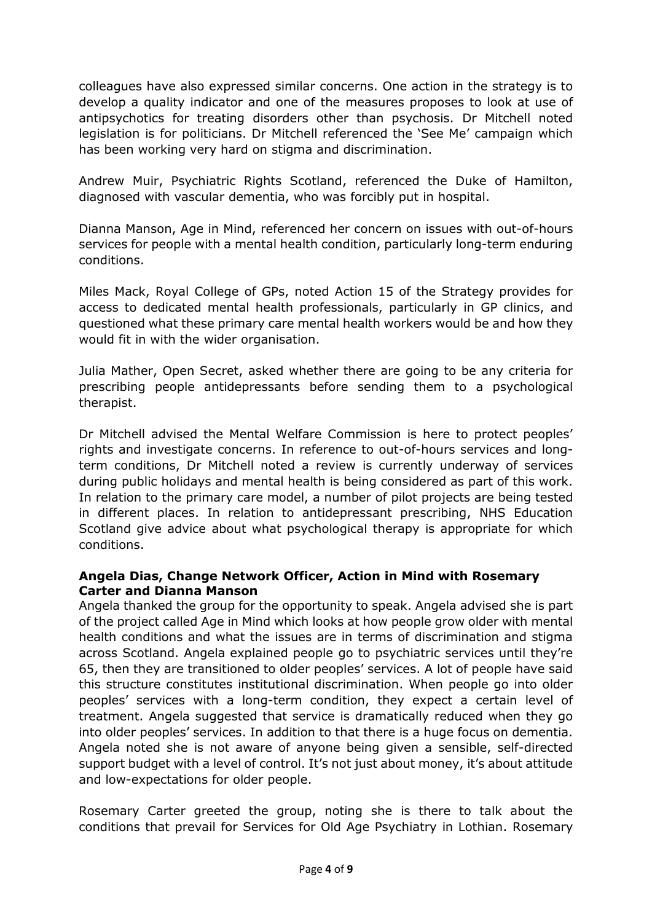colleagues have also expressed similar concerns. One action in the strategy is to develop a quality indicator and one of the measures proposes to look at use of antipsychotics for treating disorders other than psychosis. Dr Mitchell noted legislation is for politicians. Dr Mitchell referenced the 'See Me' campaign which has been working very hard on stigma and discrimination.

Andrew Muir, Psychiatric Rights Scotland, referenced the Duke of Hamilton, diagnosed with vascular dementia, who was forcibly put in hospital.

Dianna Manson, Age in Mind, referenced her concern on issues with out-of-hours services for people with a mental health condition, particularly long-term enduring conditions.

Miles Mack, Royal College of GPs, noted Action 15 of the Strategy provides for access to dedicated mental health professionals, particularly in GP clinics, and questioned what these primary care mental health workers would be and how they would fit in with the wider organisation.

Julia Mather, Open Secret, asked whether there are going to be any criteria for prescribing people antidepressants before sending them to a psychological therapist.

Dr Mitchell advised the Mental Welfare Commission is here to protect peoples' rights and investigate concerns. In reference to out-of-hours services and longterm conditions, Dr Mitchell noted a review is currently underway of services during public holidays and mental health is being considered as part of this work. In relation to the primary care model, a number of pilot projects are being tested in different places. In relation to antidepressant prescribing, NHS Education Scotland give advice about what psychological therapy is appropriate for which conditions.

## **Angela Dias, Change Network Officer, Action in Mind with Rosemary Carter and Dianna Manson**

Angela thanked the group for the opportunity to speak. Angela advised she is part of the project called Age in Mind which looks at how people grow older with mental health conditions and what the issues are in terms of discrimination and stigma across Scotland. Angela explained people go to psychiatric services until they're 65, then they are transitioned to older peoples' services. A lot of people have said this structure constitutes institutional discrimination. When people go into older peoples' services with a long-term condition, they expect a certain level of treatment. Angela suggested that service is dramatically reduced when they go into older peoples' services. In addition to that there is a huge focus on dementia. Angela noted she is not aware of anyone being given a sensible, self-directed support budget with a level of control. It's not just about money, it's about attitude and low-expectations for older people.

Rosemary Carter greeted the group, noting she is there to talk about the conditions that prevail for Services for Old Age Psychiatry in Lothian. Rosemary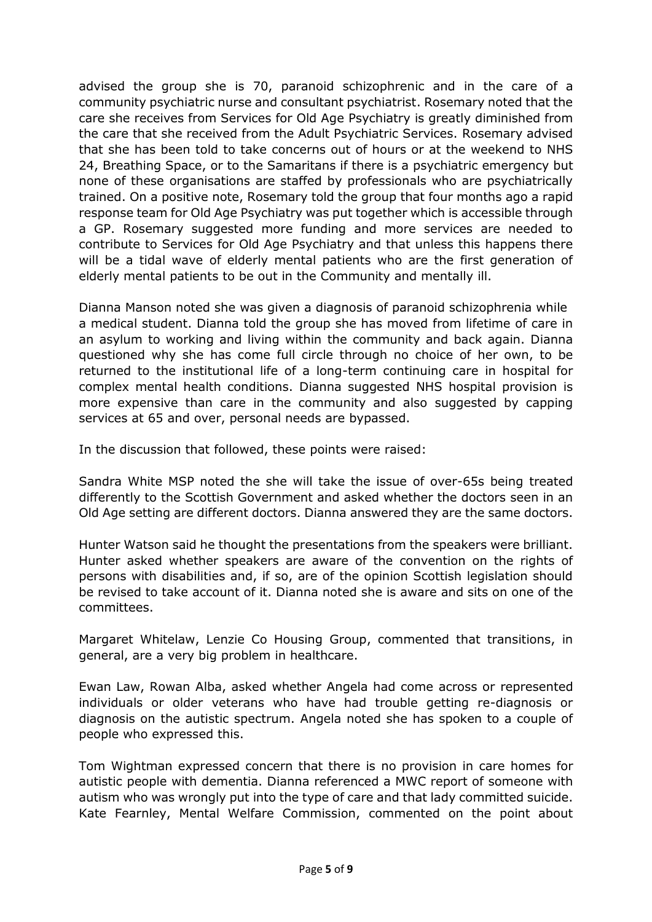advised the group she is 70, paranoid schizophrenic and in the care of a community psychiatric nurse and consultant psychiatrist. Rosemary noted that the care she receives from Services for Old Age Psychiatry is greatly diminished from the care that she received from the Adult Psychiatric Services. Rosemary advised that she has been told to take concerns out of hours or at the weekend to NHS 24, Breathing Space, or to the Samaritans if there is a psychiatric emergency but none of these organisations are staffed by professionals who are psychiatrically trained. On a positive note, Rosemary told the group that four months ago a rapid response team for Old Age Psychiatry was put together which is accessible through a GP. Rosemary suggested more funding and more services are needed to contribute to Services for Old Age Psychiatry and that unless this happens there will be a tidal wave of elderly mental patients who are the first generation of elderly mental patients to be out in the Community and mentally ill.

Dianna Manson noted she was given a diagnosis of paranoid schizophrenia while a medical student. Dianna told the group she has moved from lifetime of care in an asylum to working and living within the community and back again. Dianna questioned why she has come full circle through no choice of her own, to be returned to the institutional life of a long-term continuing care in hospital for complex mental health conditions. Dianna suggested NHS hospital provision is more expensive than care in the community and also suggested by capping services at 65 and over, personal needs are bypassed.

In the discussion that followed, these points were raised:

Sandra White MSP noted the she will take the issue of over-65s being treated differently to the Scottish Government and asked whether the doctors seen in an Old Age setting are different doctors. Dianna answered they are the same doctors.

Hunter Watson said he thought the presentations from the speakers were brilliant. Hunter asked whether speakers are aware of the convention on the rights of persons with disabilities and, if so, are of the opinion Scottish legislation should be revised to take account of it. Dianna noted she is aware and sits on one of the committees.

Margaret Whitelaw, Lenzie Co Housing Group, commented that transitions, in general, are a very big problem in healthcare.

Ewan Law, Rowan Alba, asked whether Angela had come across or represented individuals or older veterans who have had trouble getting re-diagnosis or diagnosis on the autistic spectrum. Angela noted she has spoken to a couple of people who expressed this.

Tom Wightman expressed concern that there is no provision in care homes for autistic people with dementia. Dianna referenced a MWC report of someone with autism who was wrongly put into the type of care and that lady committed suicide. Kate Fearnley, Mental Welfare Commission, commented on the point about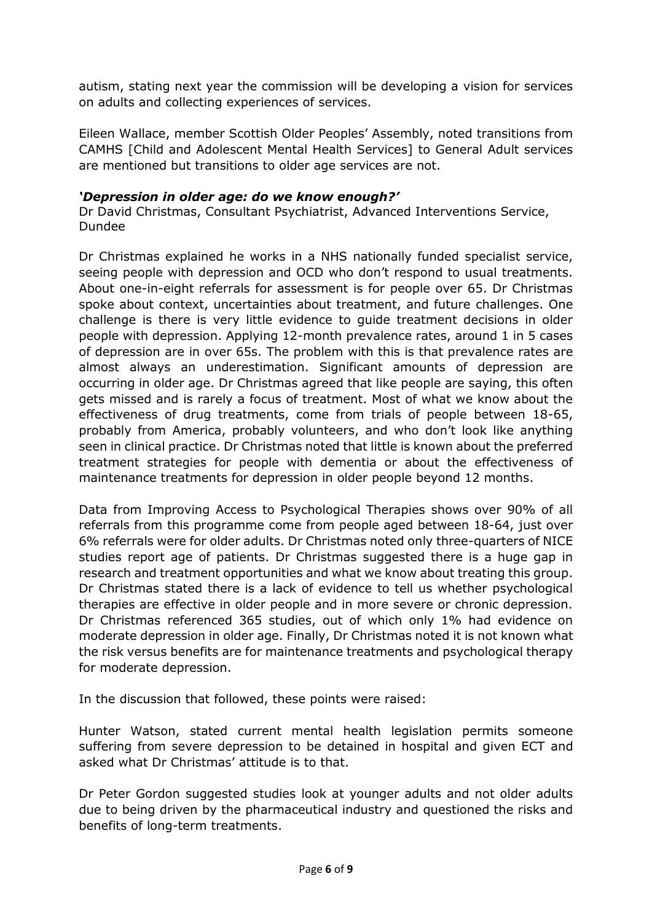autism, stating next year the commission will be developing a vision for services on adults and collecting experiences of services.

Eileen Wallace, member Scottish Older Peoples' Assembly, noted transitions from CAMHS [Child and Adolescent Mental Health Services] to General Adult services are mentioned but transitions to older age services are not.

#### *'Depression in older age: do we know enough?'*

Dr David Christmas, Consultant Psychiatrist, Advanced Interventions Service, Dundee

Dr Christmas explained he works in a NHS nationally funded specialist service, seeing people with depression and OCD who don't respond to usual treatments. About one-in-eight referrals for assessment is for people over 65. Dr Christmas spoke about context, uncertainties about treatment, and future challenges. One challenge is there is very little evidence to guide treatment decisions in older people with depression. Applying 12-month prevalence rates, around 1 in 5 cases of depression are in over 65s. The problem with this is that prevalence rates are almost always an underestimation. Significant amounts of depression are occurring in older age. Dr Christmas agreed that like people are saying, this often gets missed and is rarely a focus of treatment. Most of what we know about the effectiveness of drug treatments, come from trials of people between 18-65, probably from America, probably volunteers, and who don't look like anything seen in clinical practice. Dr Christmas noted that little is known about the preferred treatment strategies for people with dementia or about the effectiveness of maintenance treatments for depression in older people beyond 12 months.

Data from Improving Access to Psychological Therapies shows over 90% of all referrals from this programme come from people aged between 18-64, just over 6% referrals were for older adults. Dr Christmas noted only three-quarters of NICE studies report age of patients. Dr Christmas suggested there is a huge gap in research and treatment opportunities and what we know about treating this group. Dr Christmas stated there is a lack of evidence to tell us whether psychological therapies are effective in older people and in more severe or chronic depression. Dr Christmas referenced 365 studies, out of which only 1% had evidence on moderate depression in older age. Finally, Dr Christmas noted it is not known what the risk versus benefits are for maintenance treatments and psychological therapy for moderate depression.

In the discussion that followed, these points were raised:

Hunter Watson, stated current mental health legislation permits someone suffering from severe depression to be detained in hospital and given ECT and asked what Dr Christmas' attitude is to that.

Dr Peter Gordon suggested studies look at younger adults and not older adults due to being driven by the pharmaceutical industry and questioned the risks and benefits of long-term treatments.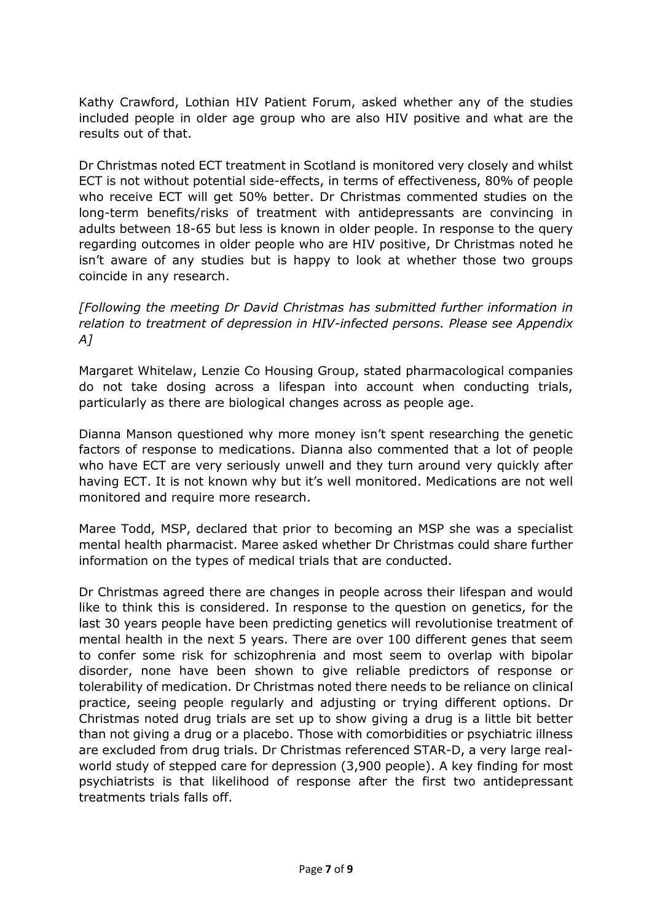Kathy Crawford, Lothian HIV Patient Forum, asked whether any of the studies included people in older age group who are also HIV positive and what are the results out of that.

Dr Christmas noted ECT treatment in Scotland is monitored very closely and whilst ECT is not without potential side-effects, in terms of effectiveness, 80% of people who receive ECT will get 50% better. Dr Christmas commented studies on the long-term benefits/risks of treatment with antidepressants are convincing in adults between 18-65 but less is known in older people. In response to the query regarding outcomes in older people who are HIV positive, Dr Christmas noted he isn't aware of any studies but is happy to look at whether those two groups coincide in any research.

*[Following the meeting Dr David Christmas has submitted further information in relation to treatment of depression in HIV-infected persons. Please see Appendix A]*

Margaret Whitelaw, Lenzie Co Housing Group, stated pharmacological companies do not take dosing across a lifespan into account when conducting trials, particularly as there are biological changes across as people age.

Dianna Manson questioned why more money isn't spent researching the genetic factors of response to medications. Dianna also commented that a lot of people who have ECT are very seriously unwell and they turn around very quickly after having ECT. It is not known why but it's well monitored. Medications are not well monitored and require more research.

Maree Todd, MSP, declared that prior to becoming an MSP she was a specialist mental health pharmacist. Maree asked whether Dr Christmas could share further information on the types of medical trials that are conducted.

Dr Christmas agreed there are changes in people across their lifespan and would like to think this is considered. In response to the question on genetics, for the last 30 years people have been predicting genetics will revolutionise treatment of mental health in the next 5 years. There are over 100 different genes that seem to confer some risk for schizophrenia and most seem to overlap with bipolar disorder, none have been shown to give reliable predictors of response or tolerability of medication. Dr Christmas noted there needs to be reliance on clinical practice, seeing people regularly and adjusting or trying different options. Dr Christmas noted drug trials are set up to show giving a drug is a little bit better than not giving a drug or a placebo. Those with comorbidities or psychiatric illness are excluded from drug trials. Dr Christmas referenced STAR-D, a very large realworld study of stepped care for depression (3,900 people). A key finding for most psychiatrists is that likelihood of response after the first two antidepressant treatments trials falls off.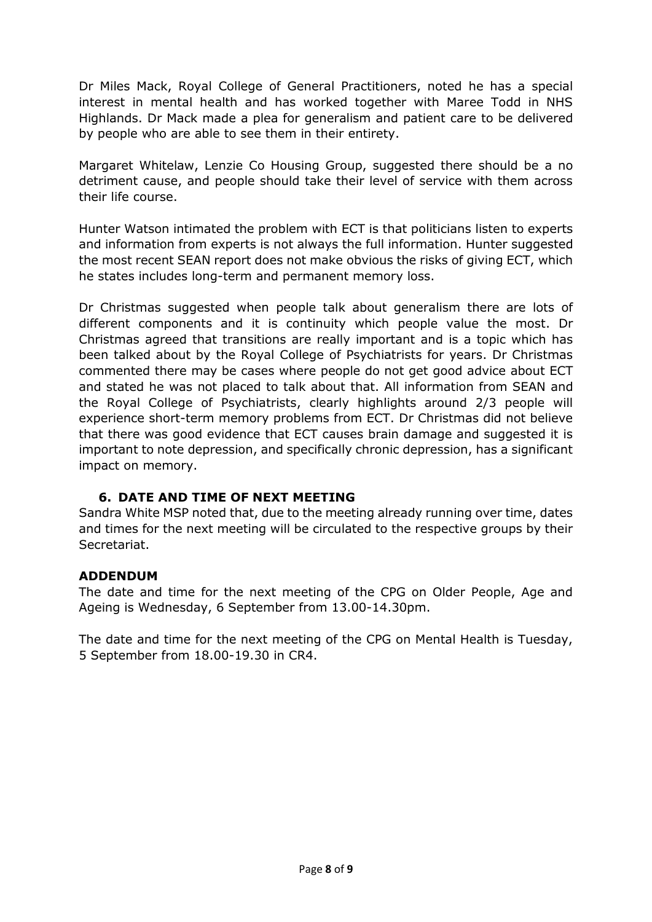Dr Miles Mack, Royal College of General Practitioners, noted he has a special interest in mental health and has worked together with Maree Todd in NHS Highlands. Dr Mack made a plea for generalism and patient care to be delivered by people who are able to see them in their entirety.

Margaret Whitelaw, Lenzie Co Housing Group, suggested there should be a no detriment cause, and people should take their level of service with them across their life course.

Hunter Watson intimated the problem with ECT is that politicians listen to experts and information from experts is not always the full information. Hunter suggested the most recent SEAN report does not make obvious the risks of giving ECT, which he states includes long-term and permanent memory loss.

Dr Christmas suggested when people talk about generalism there are lots of different components and it is continuity which people value the most. Dr Christmas agreed that transitions are really important and is a topic which has been talked about by the Royal College of Psychiatrists for years. Dr Christmas commented there may be cases where people do not get good advice about ECT and stated he was not placed to talk about that. All information from SEAN and the Royal College of Psychiatrists, clearly highlights around 2/3 people will experience short-term memory problems from ECT. Dr Christmas did not believe that there was good evidence that ECT causes brain damage and suggested it is important to note depression, and specifically chronic depression, has a significant impact on memory.

# **6. DATE AND TIME OF NEXT MEETING**

Sandra White MSP noted that, due to the meeting already running over time, dates and times for the next meeting will be circulated to the respective groups by their Secretariat.

# **ADDENDUM**

The date and time for the next meeting of the CPG on Older People, Age and Ageing is Wednesday, 6 September from 13.00-14.30pm.

The date and time for the next meeting of the CPG on Mental Health is Tuesday, 5 September from 18.00-19.30 in CR4.